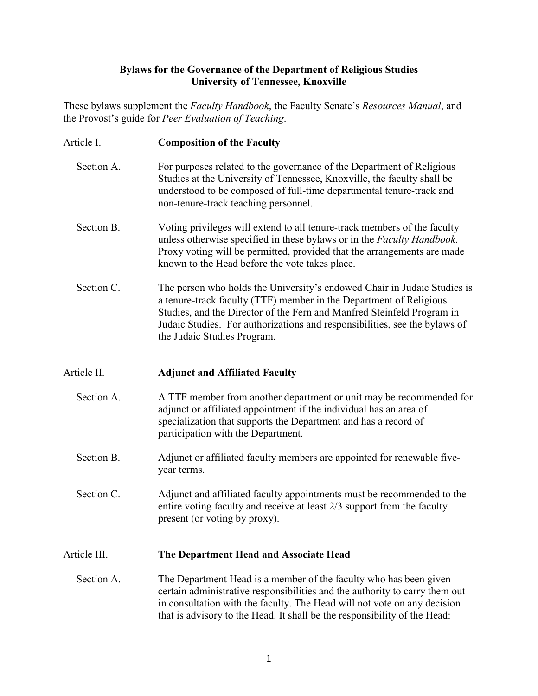## **Bylaws for the Governance of the Department of Religious Studies University of Tennessee, Knoxville**

These bylaws supplement the *Faculty Handbook*, the Faculty Senate's *Resources Manual*, and the Provost's guide for *Peer Evaluation of Teaching*.

- Article I. **Composition of the Faculty**
	- Section A. For purposes related to the governance of the Department of Religious Studies at the University of Tennessee, Knoxville, the faculty shall be understood to be composed of full-time departmental tenure-track and non-tenure-track teaching personnel.
	- Section B. Voting privileges will extend to all tenure-track members of the faculty unless otherwise specified in these bylaws or in the *Faculty Handbook*. Proxy voting will be permitted, provided that the arrangements are made known to the Head before the vote takes place.
	- Section C. The person who holds the University's endowed Chair in Judaic Studies is a tenure-track faculty (TTF) member in the Department of Religious Studies, and the Director of the Fern and Manfred Steinfeld Program in Judaic Studies. For authorizations and responsibilities, see the bylaws of the Judaic Studies Program.

## Article II. **Adjunct and Affiliated Faculty**

- Section A. A TTF member from another department or unit may be recommended for adjunct or affiliated appointment if the individual has an area of specialization that supports the Department and has a record of participation with the Department.
- Section B. Adjunct or affiliated faculty members are appointed for renewable fiveyear terms.

 Section C. Adjunct and affiliated faculty appointments must be recommended to the entire voting faculty and receive at least 2/3 support from the faculty present (or voting by proxy).

## Article III. **The Department Head and Associate Head**

 Section A. The Department Head is a member of the faculty who has been given certain administrative responsibilities and the authority to carry them out in consultation with the faculty. The Head will not vote on any decision that is advisory to the Head. It shall be the responsibility of the Head: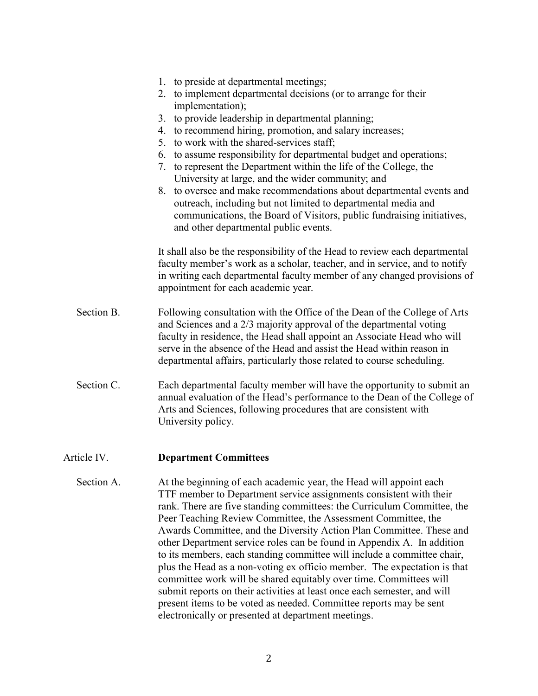|             | 1. to preside at departmental meetings;<br>2. to implement departmental decisions (or to arrange for their<br>implementation);<br>3. to provide leadership in departmental planning;<br>4. to recommend hiring, promotion, and salary increases;<br>5. to work with the shared-services staff;<br>6. to assume responsibility for departmental budget and operations;<br>7. to represent the Department within the life of the College, the<br>University at large, and the wider community; and<br>8. to oversee and make recommendations about departmental events and<br>outreach, including but not limited to departmental media and<br>communications, the Board of Visitors, public fundraising initiatives,<br>and other departmental public events.                                                                                                                 |
|-------------|------------------------------------------------------------------------------------------------------------------------------------------------------------------------------------------------------------------------------------------------------------------------------------------------------------------------------------------------------------------------------------------------------------------------------------------------------------------------------------------------------------------------------------------------------------------------------------------------------------------------------------------------------------------------------------------------------------------------------------------------------------------------------------------------------------------------------------------------------------------------------|
|             | It shall also be the responsibility of the Head to review each departmental<br>faculty member's work as a scholar, teacher, and in service, and to notify<br>in writing each departmental faculty member of any changed provisions of<br>appointment for each academic year.                                                                                                                                                                                                                                                                                                                                                                                                                                                                                                                                                                                                 |
| Section B.  | Following consultation with the Office of the Dean of the College of Arts<br>and Sciences and a 2/3 majority approval of the departmental voting<br>faculty in residence, the Head shall appoint an Associate Head who will<br>serve in the absence of the Head and assist the Head within reason in<br>departmental affairs, particularly those related to course scheduling.                                                                                                                                                                                                                                                                                                                                                                                                                                                                                               |
| Section C.  | Each departmental faculty member will have the opportunity to submit an<br>annual evaluation of the Head's performance to the Dean of the College of<br>Arts and Sciences, following procedures that are consistent with<br>University policy.                                                                                                                                                                                                                                                                                                                                                                                                                                                                                                                                                                                                                               |
| Article IV. | <b>Department Committees</b>                                                                                                                                                                                                                                                                                                                                                                                                                                                                                                                                                                                                                                                                                                                                                                                                                                                 |
| Section A.  | At the beginning of each academic year, the Head will appoint each<br>TTF member to Department service assignments consistent with their<br>rank. There are five standing committees: the Curriculum Committee, the<br>Peer Teaching Review Committee, the Assessment Committee, the<br>Awards Committee, and the Diversity Action Plan Committee. These and<br>other Department service roles can be found in Appendix A. In addition<br>to its members, each standing committee will include a committee chair,<br>plus the Head as a non-voting ex officio member. The expectation is that<br>committee work will be shared equitably over time. Committees will<br>submit reports on their activities at least once each semester, and will<br>present items to be voted as needed. Committee reports may be sent<br>electronically or presented at department meetings. |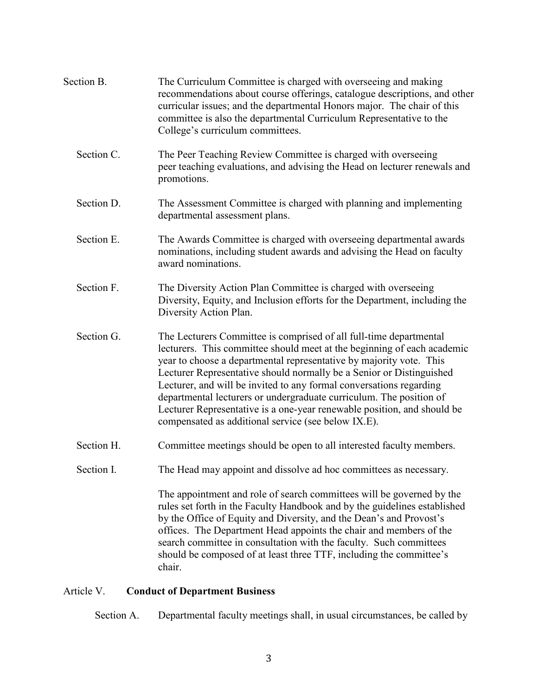| Section B. | The Curriculum Committee is charged with overseeing and making<br>recommendations about course offerings, catalogue descriptions, and other<br>curricular issues; and the departmental Honors major. The chair of this<br>committee is also the departmental Curriculum Representative to the<br>College's curriculum committees.                                                                                                                                                                                                                                            |
|------------|------------------------------------------------------------------------------------------------------------------------------------------------------------------------------------------------------------------------------------------------------------------------------------------------------------------------------------------------------------------------------------------------------------------------------------------------------------------------------------------------------------------------------------------------------------------------------|
| Section C. | The Peer Teaching Review Committee is charged with overseeing<br>peer teaching evaluations, and advising the Head on lecturer renewals and<br>promotions.                                                                                                                                                                                                                                                                                                                                                                                                                    |
| Section D. | The Assessment Committee is charged with planning and implementing<br>departmental assessment plans.                                                                                                                                                                                                                                                                                                                                                                                                                                                                         |
| Section E. | The Awards Committee is charged with overseeing departmental awards<br>nominations, including student awards and advising the Head on faculty<br>award nominations.                                                                                                                                                                                                                                                                                                                                                                                                          |
| Section F. | The Diversity Action Plan Committee is charged with overseeing<br>Diversity, Equity, and Inclusion efforts for the Department, including the<br>Diversity Action Plan.                                                                                                                                                                                                                                                                                                                                                                                                       |
| Section G. | The Lecturers Committee is comprised of all full-time departmental<br>lecturers. This committee should meet at the beginning of each academic<br>year to choose a departmental representative by majority vote. This<br>Lecturer Representative should normally be a Senior or Distinguished<br>Lecturer, and will be invited to any formal conversations regarding<br>departmental lecturers or undergraduate curriculum. The position of<br>Lecturer Representative is a one-year renewable position, and should be<br>compensated as additional service (see below IX.E). |
| Section H. | Committee meetings should be open to all interested faculty members.                                                                                                                                                                                                                                                                                                                                                                                                                                                                                                         |
| Section I. | The Head may appoint and dissolve ad hoc committees as necessary.                                                                                                                                                                                                                                                                                                                                                                                                                                                                                                            |
|            | The appointment and role of search committees will be governed by the<br>rules set forth in the Faculty Handbook and by the guidelines established<br>by the Office of Equity and Diversity, and the Dean's and Provost's<br>offices. The Department Head appoints the chair and members of the<br>search committee in consultation with the faculty. Such committees<br>should be composed of at least three TTF, including the committee's<br>chair.                                                                                                                       |

# Article V. **Conduct of Department Business**

Section A. Departmental faculty meetings shall, in usual circumstances, be called by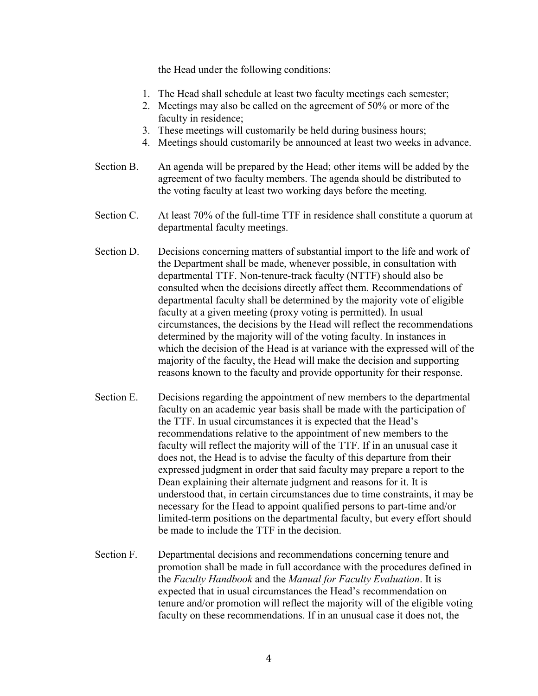the Head under the following conditions:

- 1. The Head shall schedule at least two faculty meetings each semester;
- 2. Meetings may also be called on the agreement of 50% or more of the faculty in residence;
- 3. These meetings will customarily be held during business hours;
- 4. Meetings should customarily be announced at least two weeks in advance.
- Section B. An agenda will be prepared by the Head; other items will be added by the agreement of two faculty members. The agenda should be distributed to the voting faculty at least two working days before the meeting.
- Section C. At least 70% of the full-time TTF in residence shall constitute a quorum at departmental faculty meetings.
- Section D. Decisions concerning matters of substantial import to the life and work of the Department shall be made, whenever possible, in consultation with departmental TTF. Non-tenure-track faculty (NTTF) should also be consulted when the decisions directly affect them. Recommendations of departmental faculty shall be determined by the majority vote of eligible faculty at a given meeting (proxy voting is permitted). In usual circumstances, the decisions by the Head will reflect the recommendations determined by the majority will of the voting faculty. In instances in which the decision of the Head is at variance with the expressed will of the majority of the faculty, the Head will make the decision and supporting reasons known to the faculty and provide opportunity for their response.
- Section E. Decisions regarding the appointment of new members to the departmental faculty on an academic year basis shall be made with the participation of the TTF. In usual circumstances it is expected that the Head's recommendations relative to the appointment of new members to the faculty will reflect the majority will of the TTF. If in an unusual case it does not, the Head is to advise the faculty of this departure from their expressed judgment in order that said faculty may prepare a report to the Dean explaining their alternate judgment and reasons for it. It is understood that, in certain circumstances due to time constraints, it may be necessary for the Head to appoint qualified persons to part-time and/or limited-term positions on the departmental faculty, but every effort should be made to include the TTF in the decision.
- Section F. Departmental decisions and recommendations concerning tenure and promotion shall be made in full accordance with the procedures defined in the *Faculty Handbook* and the *Manual for Faculty Evaluation*. It is expected that in usual circumstances the Head's recommendation on tenure and/or promotion will reflect the majority will of the eligible voting faculty on these recommendations. If in an unusual case it does not, the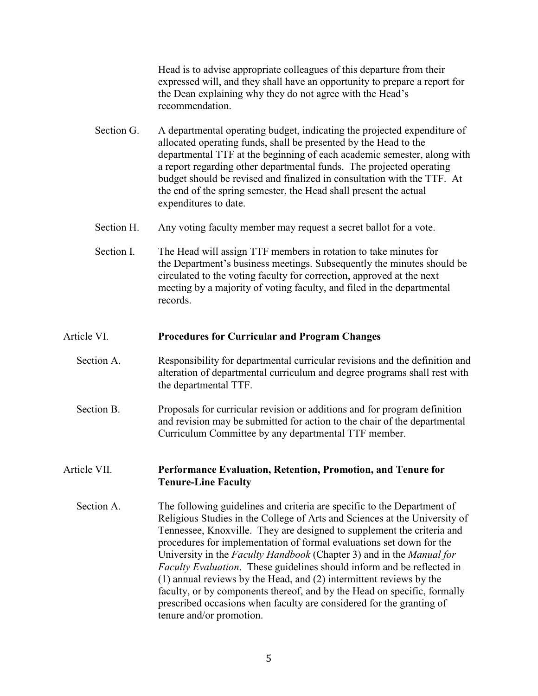Head is to advise appropriate colleagues of this departure from their expressed will, and they shall have an opportunity to prepare a report for the Dean explaining why they do not agree with the Head's recommendation.

- Section G. A departmental operating budget, indicating the projected expenditure of allocated operating funds, shall be presented by the Head to the departmental TTF at the beginning of each academic semester, along with a report regarding other departmental funds. The projected operating budget should be revised and finalized in consultation with the TTF. At the end of the spring semester, the Head shall present the actual expenditures to date.
- Section H. Any voting faculty member may request a secret ballot for a vote.
- Section I. The Head will assign TTF members in rotation to take minutes for the Department's business meetings. Subsequently the minutes should be circulated to the voting faculty for correction, approved at the next meeting by a majority of voting faculty, and filed in the departmental records.

#### Article VI. **Procedures for Curricular and Program Changes**

- Section A. Responsibility for departmental curricular revisions and the definition and alteration of departmental curriculum and degree programs shall rest with the departmental TTF.
- Section B. Proposals for curricular revision or additions and for program definition and revision may be submitted for action to the chair of the departmental Curriculum Committee by any departmental TTF member.

## Article VII. **Performance Evaluation, Retention, Promotion, and Tenure for Tenure-Line Faculty**

 Section A. The following guidelines and criteria are specific to the Department of Religious Studies in the College of Arts and Sciences at the University of Tennessee, Knoxville. They are designed to supplement the criteria and procedures for implementation of formal evaluations set down for the University in the *Faculty Handbook* (Chapter 3) and in the *Manual for Faculty Evaluation*. These guidelines should inform and be reflected in (1) annual reviews by the Head, and (2) intermittent reviews by the faculty, or by components thereof, and by the Head on specific, formally prescribed occasions when faculty are considered for the granting of tenure and/or promotion.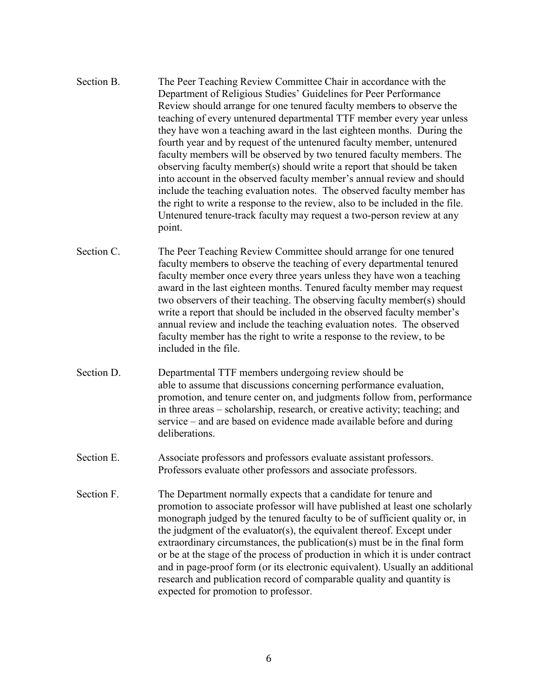- Section B. The Peer Teaching Review Committee Chair in accordance with the Department of Religious Studies' Guidelines for Peer Performance Review should arrange for one tenured faculty members to observe the teaching of every untenured departmental TTF member every year unless they have won a teaching award in the last eighteen months. During the fourth year and by request of the untenured faculty member, untenured faculty members will be observed by two tenured faculty members. The observing faculty member(s) should write a report that should be taken into account in the observed faculty member's annual review and should include the teaching evaluation notes. The observed faculty member has the right to write a response to the review, also to be included in the file. Untenured tenure-track faculty may request a two-person review at any point.
- Section C. The Peer Teaching Review Committee should arrange for one tenured faculty members to observe the teaching of every departmental tenured faculty member once every three years unless they have won a teaching award in the last eighteen months. Tenured faculty member may request two observers of their teaching. The observing faculty member(s) should write a report that should be included in the observed faculty member's annual review and include the teaching evaluation notes. The observed faculty member has the right to write a response to the review, to be included in the file.
- Section D. Departmental TTF members undergoing review should be able to assume that discussions concerning performance evaluation, promotion, and tenure center on, and judgments follow from, performance in three areas – scholarship, research, or creative activity; teaching; and service – and are based on evidence made available before and during deliberations.
- Section E. Associate professors and professors evaluate assistant professors. Professors evaluate other professors and associate professors.
- Section F. The Department normally expects that a candidate for tenure and promotion to associate professor will have published at least one scholarly monograph judged by the tenured faculty to be of sufficient quality or, in the judgment of the evaluator(s), the equivalent thereof. Except under extraordinary circumstances, the publication(s) must be in the final form or be at the stage of the process of production in which it is under contract and in page-proof form (or its electronic equivalent). Usually an additional research and publication record of comparable quality and quantity is expected for promotion to professor.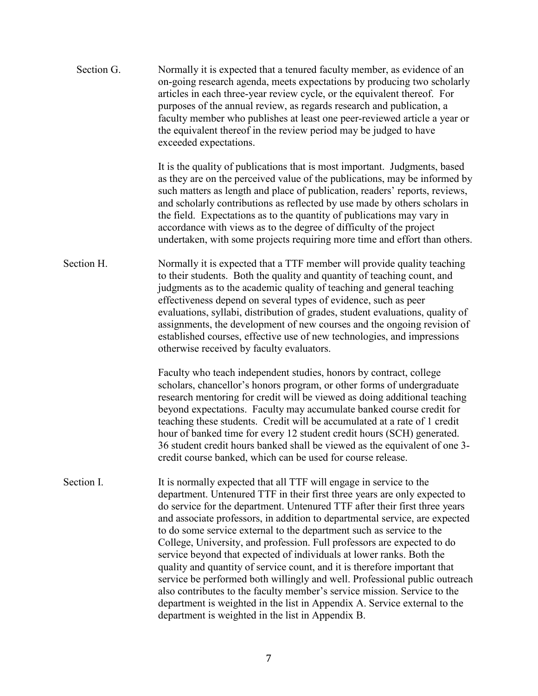| Section G. | Normally it is expected that a tenured faculty member, as evidence of an<br>on-going research agenda, meets expectations by producing two scholarly<br>articles in each three-year review cycle, or the equivalent thereof. For<br>purposes of the annual review, as regards research and publication, a<br>faculty member who publishes at least one peer-reviewed article a year or<br>the equivalent thereof in the review period may be judged to have<br>exceeded expectations.                                                                                                                                                                                                                                                                                                                                                                                                                             |
|------------|------------------------------------------------------------------------------------------------------------------------------------------------------------------------------------------------------------------------------------------------------------------------------------------------------------------------------------------------------------------------------------------------------------------------------------------------------------------------------------------------------------------------------------------------------------------------------------------------------------------------------------------------------------------------------------------------------------------------------------------------------------------------------------------------------------------------------------------------------------------------------------------------------------------|
|            | It is the quality of publications that is most important. Judgments, based<br>as they are on the perceived value of the publications, may be informed by<br>such matters as length and place of publication, readers' reports, reviews,<br>and scholarly contributions as reflected by use made by others scholars in<br>the field. Expectations as to the quantity of publications may vary in<br>accordance with views as to the degree of difficulty of the project<br>undertaken, with some projects requiring more time and effort than others.                                                                                                                                                                                                                                                                                                                                                             |
| Section H. | Normally it is expected that a TTF member will provide quality teaching<br>to their students. Both the quality and quantity of teaching count, and<br>judgments as to the academic quality of teaching and general teaching<br>effectiveness depend on several types of evidence, such as peer<br>evaluations, syllabi, distribution of grades, student evaluations, quality of<br>assignments, the development of new courses and the ongoing revision of<br>established courses, effective use of new technologies, and impressions<br>otherwise received by faculty evaluators.                                                                                                                                                                                                                                                                                                                               |
|            | Faculty who teach independent studies, honors by contract, college<br>scholars, chancellor's honors program, or other forms of undergraduate<br>research mentoring for credit will be viewed as doing additional teaching<br>beyond expectations. Faculty may accumulate banked course credit for<br>teaching these students. Credit will be accumulated at a rate of 1 credit<br>hour of banked time for every 12 student credit hours (SCH) generated.<br>36 student credit hours banked shall be viewed as the equivalent of one 3-<br>credit course banked, which can be used for course release.                                                                                                                                                                                                                                                                                                            |
| Section I. | It is normally expected that all TTF will engage in service to the<br>department. Untenured TTF in their first three years are only expected to<br>do service for the department. Untenured TTF after their first three years<br>and associate professors, in addition to departmental service, are expected<br>to do some service external to the department such as service to the<br>College, University, and profession. Full professors are expected to do<br>service beyond that expected of individuals at lower ranks. Both the<br>quality and quantity of service count, and it is therefore important that<br>service be performed both willingly and well. Professional public outreach<br>also contributes to the faculty member's service mission. Service to the<br>department is weighted in the list in Appendix A. Service external to the<br>department is weighted in the list in Appendix B. |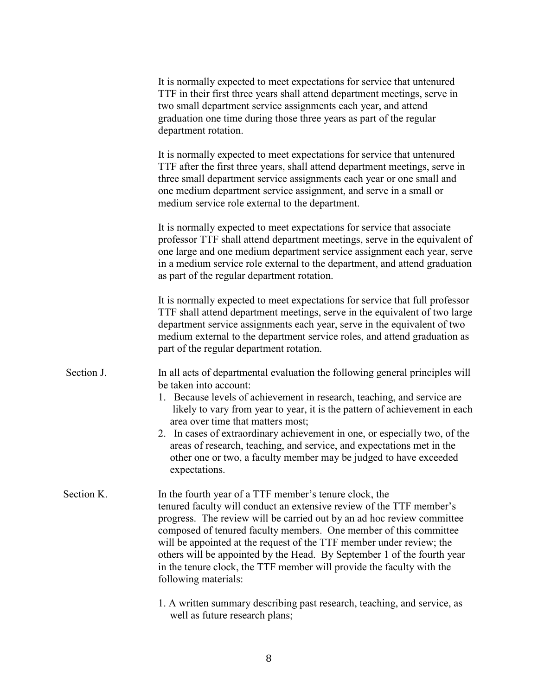|            | It is normally expected to meet expectations for service that untenured<br>TTF in their first three years shall attend department meetings, serve in<br>two small department service assignments each year, and attend<br>graduation one time during those three years as part of the regular<br>department rotation.                                                                                                                                                                                                                             |
|------------|---------------------------------------------------------------------------------------------------------------------------------------------------------------------------------------------------------------------------------------------------------------------------------------------------------------------------------------------------------------------------------------------------------------------------------------------------------------------------------------------------------------------------------------------------|
|            | It is normally expected to meet expectations for service that untenured<br>TTF after the first three years, shall attend department meetings, serve in<br>three small department service assignments each year or one small and<br>one medium department service assignment, and serve in a small or<br>medium service role external to the department.                                                                                                                                                                                           |
|            | It is normally expected to meet expectations for service that associate<br>professor TTF shall attend department meetings, serve in the equivalent of<br>one large and one medium department service assignment each year, serve<br>in a medium service role external to the department, and attend graduation<br>as part of the regular department rotation.                                                                                                                                                                                     |
|            | It is normally expected to meet expectations for service that full professor<br>TTF shall attend department meetings, serve in the equivalent of two large<br>department service assignments each year, serve in the equivalent of two<br>medium external to the department service roles, and attend graduation as<br>part of the regular department rotation.                                                                                                                                                                                   |
| Section J. | In all acts of departmental evaluation the following general principles will<br>be taken into account:<br>1. Because levels of achievement in research, teaching, and service are<br>likely to vary from year to year, it is the pattern of achievement in each<br>area over time that matters most;<br>2. In cases of extraordinary achievement in one, or especially two, of the<br>areas of research, teaching, and service, and expectations met in the<br>other one or two, a faculty member may be judged to have exceeded<br>expectations. |
| Section K. | In the fourth year of a TTF member's tenure clock, the<br>tenured faculty will conduct an extensive review of the TTF member's<br>progress. The review will be carried out by an ad hoc review committee<br>composed of tenured faculty members. One member of this committee<br>will be appointed at the request of the TTF member under review; the<br>others will be appointed by the Head. By September 1 of the fourth year<br>in the tenure clock, the TTF member will provide the faculty with the<br>following materials:                 |
|            | 1. A written summary describing past research, teaching, and service, as<br>well as future research plans;                                                                                                                                                                                                                                                                                                                                                                                                                                        |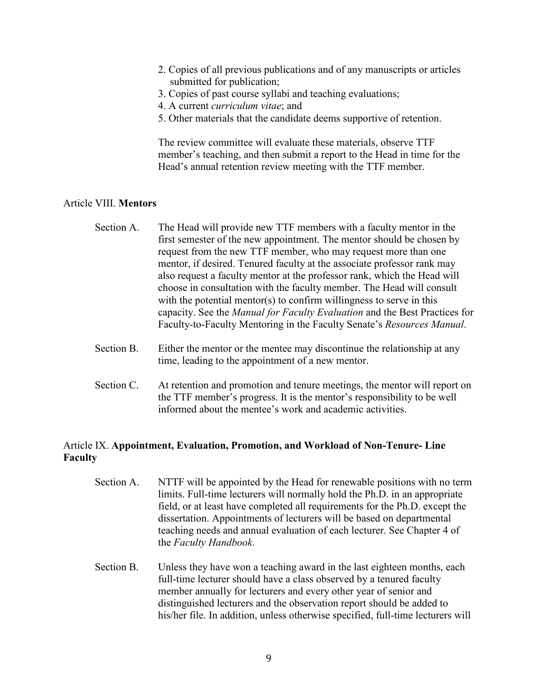- 2. Copies of all previous publications and of any manuscripts or articles submitted for publication;
- 3. Copies of past course syllabi and teaching evaluations;
- 4. A current *curriculum vitae*; and
- 5. Other materials that the candidate deems supportive of retention.

The review committee will evaluate these materials, observe TTF member's teaching, and then submit a report to the Head in time for the Head's annual retention review meeting with the TTF member.

## Article VIII. **Mentors**

- Section A. The Head will provide new TTF members with a faculty mentor in the first semester of the new appointment. The mentor should be chosen by request from the new TTF member, who may request more than one mentor, if desired. Tenured faculty at the associate professor rank may also request a faculty mentor at the professor rank, which the Head will choose in consultation with the faculty member. The Head will consult with the potential mentor(s) to confirm willingness to serve in this capacity. See the *Manual for Faculty Evaluation* and the Best Practices for Faculty-to-Faculty Mentoring in the Faculty Senate's *Resources Manual*.
- Section B. Either the mentor or the mentee may discontinue the relationship at any time, leading to the appointment of a new mentor.
- Section C. At retention and promotion and tenure meetings, the mentor will report on the TTF member's progress. It is the mentor's responsibility to be well informed about the mentee's work and academic activities.

## Article IX. **Appointment, Evaluation, Promotion, and Workload of Non-Tenure- Line Faculty**

- Section A. NTTF will be appointed by the Head for renewable positions with no term limits. Full-time lecturers will normally hold the Ph.D. in an appropriate field, or at least have completed all requirements for the Ph.D. except the dissertation. Appointments of lecturers will be based on departmental teaching needs and annual evaluation of each lecturer. See Chapter 4 of the *Faculty Handbook*.
- Section B. Unless they have won a teaching award in the last eighteen months, each full-time lecturer should have a class observed by a tenured faculty member annually for lecturers and every other year of senior and distinguished lecturers and the observation report should be added to his/her file. In addition, unless otherwise specified, full-time lecturers will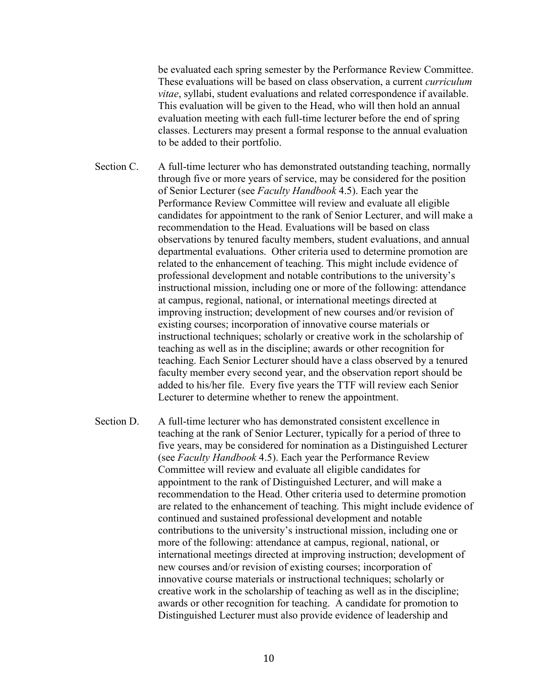be evaluated each spring semester by the Performance Review Committee. These evaluations will be based on class observation, a current *curriculum vitae*, syllabi, student evaluations and related correspondence if available. This evaluation will be given to the Head, who will then hold an annual evaluation meeting with each full-time lecturer before the end of spring classes. Lecturers may present a formal response to the annual evaluation to be added to their portfolio.

- Section C. A full-time lecturer who has demonstrated outstanding teaching, normally through five or more years of service, may be considered for the position of Senior Lecturer (see *Faculty Handbook* 4.5). Each year the Performance Review Committee will review and evaluate all eligible candidates for appointment to the rank of Senior Lecturer, and will make a recommendation to the Head. Evaluations will be based on class observations by tenured faculty members, student evaluations, and annual departmental evaluations. Other criteria used to determine promotion are related to the enhancement of teaching. This might include evidence of professional development and notable contributions to the university's instructional mission, including one or more of the following: attendance at campus, regional, national, or international meetings directed at improving instruction; development of new courses and/or revision of existing courses; incorporation of innovative course materials or instructional techniques; scholarly or creative work in the scholarship of teaching as well as in the discipline; awards or other recognition for teaching. Each Senior Lecturer should have a class observed by a tenured faculty member every second year, and the observation report should be added to his/her file. Every five years the TTF will review each Senior Lecturer to determine whether to renew the appointment.
- Section D. A full-time lecturer who has demonstrated consistent excellence in teaching at the rank of Senior Lecturer, typically for a period of three to five years, may be considered for nomination as a Distinguished Lecturer (see *Faculty Handbook* 4.5). Each year the Performance Review Committee will review and evaluate all eligible candidates for appointment to the rank of Distinguished Lecturer, and will make a recommendation to the Head. Other criteria used to determine promotion are related to the enhancement of teaching. This might include evidence of continued and sustained professional development and notable contributions to the university's instructional mission, including one or more of the following: attendance at campus, regional, national, or international meetings directed at improving instruction; development of new courses and/or revision of existing courses; incorporation of innovative course materials or instructional techniques; scholarly or creative work in the scholarship of teaching as well as in the discipline; awards or other recognition for teaching. A candidate for promotion to Distinguished Lecturer must also provide evidence of leadership and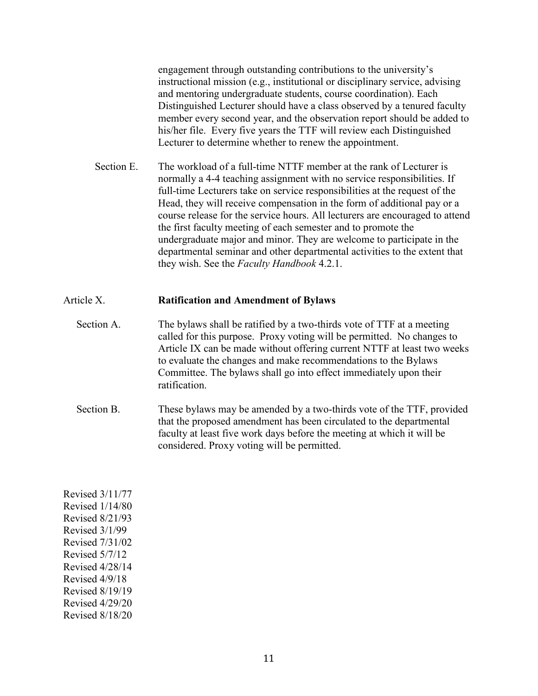engagement through outstanding contributions to the university's instructional mission (e.g., institutional or disciplinary service, advising and mentoring undergraduate students, course coordination). Each Distinguished Lecturer should have a class observed by a tenured faculty member every second year, and the observation report should be added to his/her file. Every five years the TTF will review each Distinguished Lecturer to determine whether to renew the appointment.

Section E. The workload of a full-time NTTF member at the rank of Lecturer is normally a 4-4 teaching assignment with no service responsibilities. If full-time Lecturers take on service responsibilities at the request of the Head, they will receive compensation in the form of additional pay or a course release for the service hours. All lecturers are encouraged to attend the first faculty meeting of each semester and to promote the undergraduate major and minor. They are welcome to participate in the departmental seminar and other departmental activities to the extent that they wish. See the *Faculty Handbook* 4.2.1.

## Article X. **Ratification and Amendment of Bylaws**

- Section A. The bylaws shall be ratified by a two-thirds vote of TTF at a meeting called for this purpose. Proxy voting will be permitted. No changes to Article IX can be made without offering current NTTF at least two weeks to evaluate the changes and make recommendations to the Bylaws Committee. The bylaws shall go into effect immediately upon their ratification.
- Section B. These bylaws may be amended by a two-thirds vote of the TTF, provided that the proposed amendment has been circulated to the departmental faculty at least five work days before the meeting at which it will be considered. Proxy voting will be permitted.

Revised 3/11/77 Revised 1/14/80 Revised 8/21/93 Revised 3/1/99 Revised 7/31/02 Revised 5/7/12 Revised 4/28/14 Revised 4/9/18 Revised 8/19/19 Revised 4/29/20 Revised 8/18/20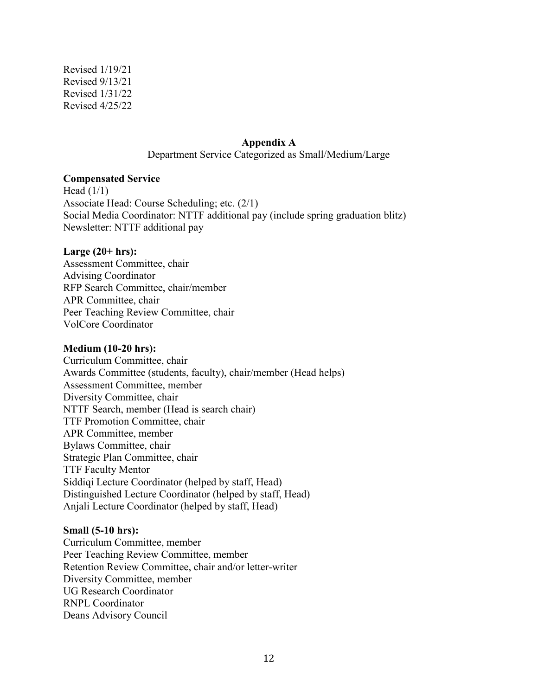Revised 1/19/21 Revised 9/13/21 Revised 1/31/22 Revised 4/25/22

#### **Appendix A**

Department Service Categorized as Small/Medium/Large

#### **Compensated Service**

Head  $(1/1)$ Associate Head: Course Scheduling; etc. (2/1) Social Media Coordinator: NTTF additional pay (include spring graduation blitz) Newsletter: NTTF additional pay

#### **Large (20+ hrs):**

Assessment Committee, chair Advising Coordinator RFP Search Committee, chair/member APR Committee, chair Peer Teaching Review Committee, chair VolCore Coordinator

#### **Medium (10-20 hrs):**

Curriculum Committee, chair Awards Committee (students, faculty), chair/member (Head helps) Assessment Committee, member Diversity Committee, chair NTTF Search, member (Head is search chair) TTF Promotion Committee, chair APR Committee, member Bylaws Committee, chair Strategic Plan Committee, chair TTF Faculty Mentor Siddiqi Lecture Coordinator (helped by staff, Head) Distinguished Lecture Coordinator (helped by staff, Head) Anjali Lecture Coordinator (helped by staff, Head)

#### **Small (5-10 hrs):**

Curriculum Committee, member Peer Teaching Review Committee, member Retention Review Committee, chair and/or letter-writer Diversity Committee, member UG Research Coordinator RNPL Coordinator Deans Advisory Council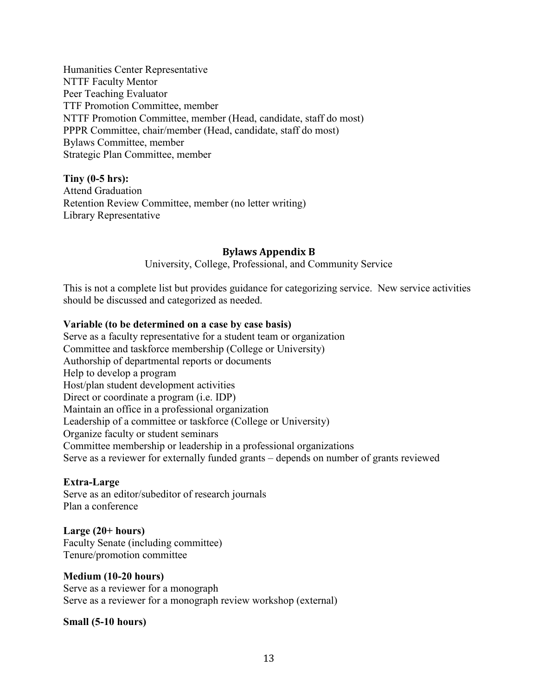Humanities Center Representative NTTF Faculty Mentor Peer Teaching Evaluator TTF Promotion Committee, member NTTF Promotion Committee, member (Head, candidate, staff do most) PPPR Committee, chair/member (Head, candidate, staff do most) Bylaws Committee, member Strategic Plan Committee, member

## **Tiny (0-5 hrs):**

Attend Graduation Retention Review Committee, member (no letter writing) Library Representative

## **Bylaws Appendix B**

University, College, Professional, and Community Service

This is not a complete list but provides guidance for categorizing service. New service activities should be discussed and categorized as needed.

## **Variable (to be determined on a case by case basis)**

Serve as a faculty representative for a student team or organization Committee and taskforce membership (College or University) Authorship of departmental reports or documents Help to develop a program Host/plan student development activities Direct or coordinate a program (i.e. IDP) Maintain an office in a professional organization Leadership of a committee or taskforce (College or University) Organize faculty or student seminars Committee membership or leadership in a professional organizations Serve as a reviewer for externally funded grants – depends on number of grants reviewed

#### **Extra-Large**

Serve as an editor/subeditor of research journals Plan a conference

#### **Large (20+ hours)** Faculty Senate (including committee)

Tenure/promotion committee

## **Medium (10-20 hours)**

Serve as a reviewer for a monograph Serve as a reviewer for a monograph review workshop (external)

## **Small (5-10 hours)**